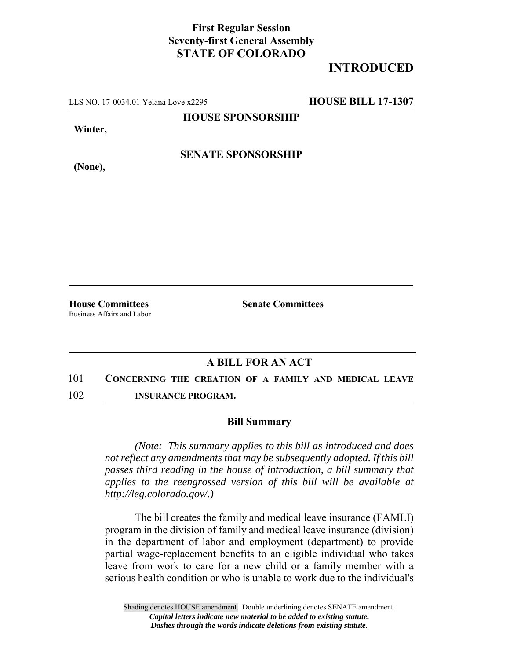## **First Regular Session Seventy-first General Assembly STATE OF COLORADO**

# **INTRODUCED**

LLS NO. 17-0034.01 Yelana Love x2295 **HOUSE BILL 17-1307**

**HOUSE SPONSORSHIP**

**Winter,**

**SENATE SPONSORSHIP**

**(None),**

Business Affairs and Labor

**House Committees Senate Committees** 

### **A BILL FOR AN ACT**

### 101 **CONCERNING THE CREATION OF A FAMILY AND MEDICAL LEAVE**

102 **INSURANCE PROGRAM.**

### **Bill Summary**

*(Note: This summary applies to this bill as introduced and does not reflect any amendments that may be subsequently adopted. If this bill passes third reading in the house of introduction, a bill summary that applies to the reengrossed version of this bill will be available at http://leg.colorado.gov/.)*

The bill creates the family and medical leave insurance (FAMLI) program in the division of family and medical leave insurance (division) in the department of labor and employment (department) to provide partial wage-replacement benefits to an eligible individual who takes leave from work to care for a new child or a family member with a serious health condition or who is unable to work due to the individual's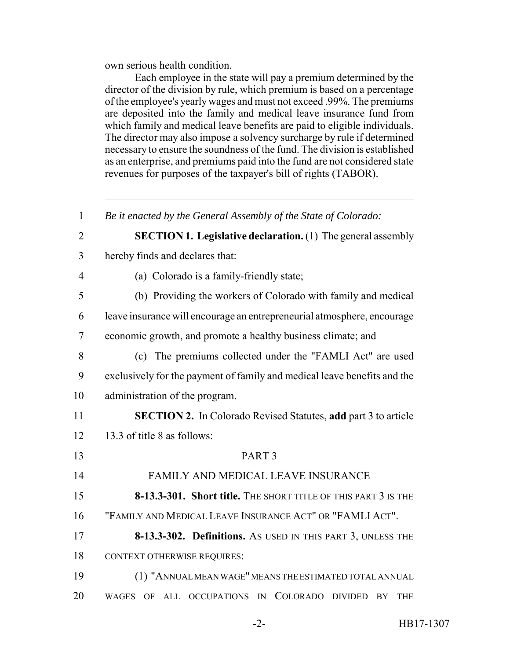own serious health condition.

Each employee in the state will pay a premium determined by the director of the division by rule, which premium is based on a percentage of the employee's yearly wages and must not exceed .99%. The premiums are deposited into the family and medical leave insurance fund from which family and medical leave benefits are paid to eligible individuals. The director may also impose a solvency surcharge by rule if determined necessary to ensure the soundness of the fund. The division is established as an enterprise, and premiums paid into the fund are not considered state revenues for purposes of the taxpayer's bill of rights (TABOR).

 *Be it enacted by the General Assembly of the State of Colorado:* **SECTION 1. Legislative declaration.** (1) The general assembly hereby finds and declares that: (a) Colorado is a family-friendly state; (b) Providing the workers of Colorado with family and medical leave insurance will encourage an entrepreneurial atmosphere, encourage economic growth, and promote a healthy business climate; and (c) The premiums collected under the "FAMLI Act" are used exclusively for the payment of family and medical leave benefits and the administration of the program. **SECTION 2.** In Colorado Revised Statutes, **add** part 3 to article 13.3 of title 8 as follows: PART 3 FAMILY AND MEDICAL LEAVE INSURANCE **8-13.3-301. Short title.** THE SHORT TITLE OF THIS PART 3 IS THE "FAMILY AND MEDICAL LEAVE INSURANCE ACT" OR "FAMLI ACT". **8-13.3-302. Definitions.** AS USED IN THIS PART 3, UNLESS THE CONTEXT OTHERWISE REQUIRES: (1) "ANNUAL MEAN WAGE" MEANS THE ESTIMATED TOTAL ANNUAL WAGES OF ALL OCCUPATIONS IN COLORADO DIVIDED BY THE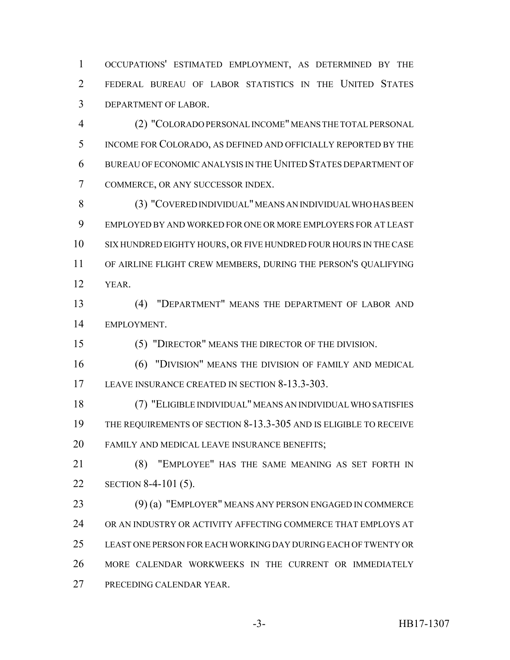OCCUPATIONS' ESTIMATED EMPLOYMENT, AS DETERMINED BY THE FEDERAL BUREAU OF LABOR STATISTICS IN THE UNITED STATES DEPARTMENT OF LABOR.

 (2) "COLORADO PERSONAL INCOME" MEANS THE TOTAL PERSONAL INCOME FOR COLORADO, AS DEFINED AND OFFICIALLY REPORTED BY THE BUREAU OF ECONOMIC ANALYSIS IN THE UNITED STATES DEPARTMENT OF COMMERCE, OR ANY SUCCESSOR INDEX.

 (3) "COVERED INDIVIDUAL" MEANS AN INDIVIDUAL WHO HAS BEEN EMPLOYED BY AND WORKED FOR ONE OR MORE EMPLOYERS FOR AT LEAST SIX HUNDRED EIGHTY HOURS, OR FIVE HUNDRED FOUR HOURS IN THE CASE OF AIRLINE FLIGHT CREW MEMBERS, DURING THE PERSON'S QUALIFYING YEAR.

 (4) "DEPARTMENT" MEANS THE DEPARTMENT OF LABOR AND EMPLOYMENT.

(5) "DIRECTOR" MEANS THE DIRECTOR OF THE DIVISION.

 (6) "DIVISION" MEANS THE DIVISION OF FAMILY AND MEDICAL LEAVE INSURANCE CREATED IN SECTION 8-13.3-303.

 (7) "ELIGIBLE INDIVIDUAL" MEANS AN INDIVIDUAL WHO SATISFIES THE REQUIREMENTS OF SECTION 8-13.3-305 AND IS ELIGIBLE TO RECEIVE FAMILY AND MEDICAL LEAVE INSURANCE BENEFITS;

 (8) "EMPLOYEE" HAS THE SAME MEANING AS SET FORTH IN SECTION 8-4-101 (5).

 (9) (a) "EMPLOYER" MEANS ANY PERSON ENGAGED IN COMMERCE OR AN INDUSTRY OR ACTIVITY AFFECTING COMMERCE THAT EMPLOYS AT LEAST ONE PERSON FOR EACH WORKING DAY DURING EACH OF TWENTY OR MORE CALENDAR WORKWEEKS IN THE CURRENT OR IMMEDIATELY PRECEDING CALENDAR YEAR.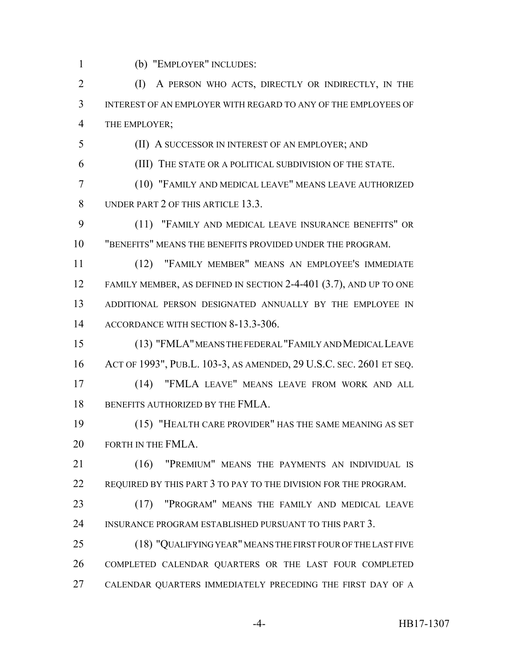(b) "EMPLOYER" INCLUDES:

2 (I) A PERSON WHO ACTS, DIRECTLY OR INDIRECTLY, IN THE INTEREST OF AN EMPLOYER WITH REGARD TO ANY OF THE EMPLOYEES OF THE EMPLOYER;

(II) A SUCCESSOR IN INTEREST OF AN EMPLOYER; AND

(III) THE STATE OR A POLITICAL SUBDIVISION OF THE STATE.

 (10) "FAMILY AND MEDICAL LEAVE" MEANS LEAVE AUTHORIZED 8 UNDER PART 2 OF THIS ARTICLE 13.3.

 (11) "FAMILY AND MEDICAL LEAVE INSURANCE BENEFITS" OR "BENEFITS" MEANS THE BENEFITS PROVIDED UNDER THE PROGRAM.

 (12) "FAMILY MEMBER" MEANS AN EMPLOYEE'S IMMEDIATE FAMILY MEMBER, AS DEFINED IN SECTION 2-4-401 (3.7), AND UP TO ONE ADDITIONAL PERSON DESIGNATED ANNUALLY BY THE EMPLOYEE IN ACCORDANCE WITH SECTION 8-13.3-306.

 (13) "FMLA" MEANS THE FEDERAL "FAMILY AND MEDICAL LEAVE ACT OF 1993", PUB.L. 103-3, AS AMENDED, 29 U.S.C. SEC. 2601 ET SEQ.

 (14) "FMLA LEAVE" MEANS LEAVE FROM WORK AND ALL 18 BENEFITS AUTHORIZED BY THE FMLA.

 (15) "HEALTH CARE PROVIDER" HAS THE SAME MEANING AS SET 20 FORTH IN THE FMLA.

21 (16) "PREMIUM" MEANS THE PAYMENTS AN INDIVIDUAL IS REQUIRED BY THIS PART 3 TO PAY TO THE DIVISION FOR THE PROGRAM.

 (17) "PROGRAM" MEANS THE FAMILY AND MEDICAL LEAVE INSURANCE PROGRAM ESTABLISHED PURSUANT TO THIS PART 3.

 (18) "QUALIFYING YEAR" MEANS THE FIRST FOUR OF THE LAST FIVE COMPLETED CALENDAR QUARTERS OR THE LAST FOUR COMPLETED CALENDAR QUARTERS IMMEDIATELY PRECEDING THE FIRST DAY OF A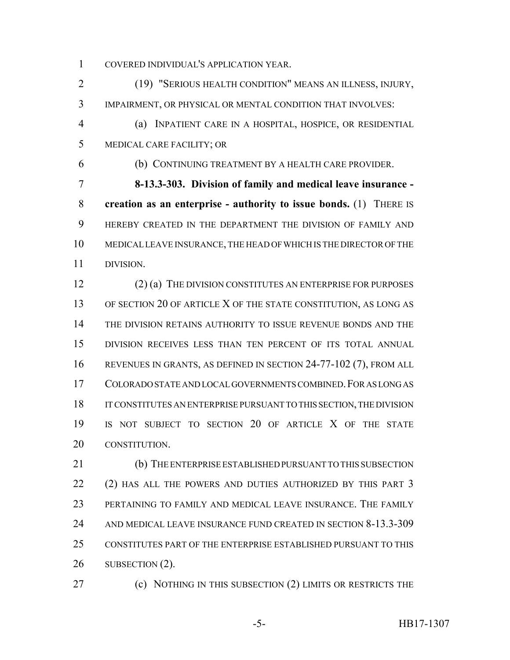COVERED INDIVIDUAL'S APPLICATION YEAR.

 (19) "SERIOUS HEALTH CONDITION" MEANS AN ILLNESS, INJURY, IMPAIRMENT, OR PHYSICAL OR MENTAL CONDITION THAT INVOLVES:

 (a) INPATIENT CARE IN A HOSPITAL, HOSPICE, OR RESIDENTIAL MEDICAL CARE FACILITY; OR

(b) CONTINUING TREATMENT BY A HEALTH CARE PROVIDER.

 **8-13.3-303. Division of family and medical leave insurance - creation as an enterprise - authority to issue bonds.** (1) THERE IS HEREBY CREATED IN THE DEPARTMENT THE DIVISION OF FAMILY AND MEDICAL LEAVE INSURANCE, THE HEAD OF WHICH IS THE DIRECTOR OF THE DIVISION.

 (2) (a) THE DIVISION CONSTITUTES AN ENTERPRISE FOR PURPOSES 13 OF SECTION 20 OF ARTICLE X OF THE STATE CONSTITUTION, AS LONG AS THE DIVISION RETAINS AUTHORITY TO ISSUE REVENUE BONDS AND THE DIVISION RECEIVES LESS THAN TEN PERCENT OF ITS TOTAL ANNUAL REVENUES IN GRANTS, AS DEFINED IN SECTION 24-77-102 (7), FROM ALL COLORADO STATE AND LOCAL GOVERNMENTS COMBINED.FOR AS LONG AS IT CONSTITUTES AN ENTERPRISE PURSUANT TO THIS SECTION, THE DIVISION IS NOT SUBJECT TO SECTION 20 OF ARTICLE X OF THE STATE CONSTITUTION.

 (b) THE ENTERPRISE ESTABLISHED PURSUANT TO THIS SUBSECTION 22 (2) HAS ALL THE POWERS AND DUTIES AUTHORIZED BY THIS PART 3 PERTAINING TO FAMILY AND MEDICAL LEAVE INSURANCE. THE FAMILY AND MEDICAL LEAVE INSURANCE FUND CREATED IN SECTION 8-13.3-309 CONSTITUTES PART OF THE ENTERPRISE ESTABLISHED PURSUANT TO THIS 26 SUBSECTION (2).

(c) NOTHING IN THIS SUBSECTION (2) LIMITS OR RESTRICTS THE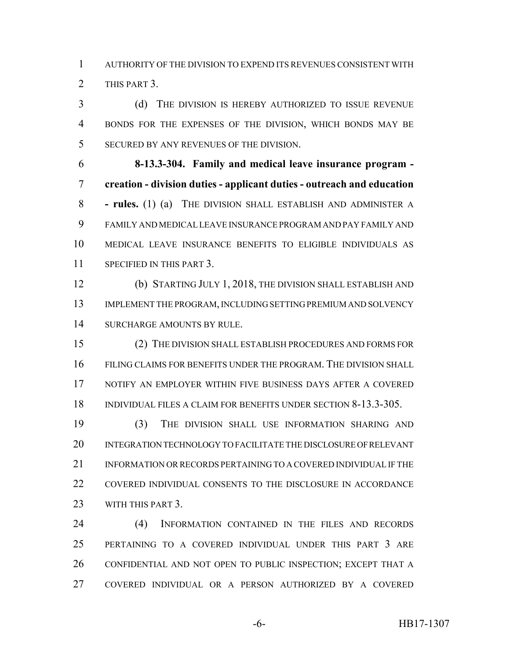AUTHORITY OF THE DIVISION TO EXPEND ITS REVENUES CONSISTENT WITH THIS PART 3.

 (d) THE DIVISION IS HEREBY AUTHORIZED TO ISSUE REVENUE BONDS FOR THE EXPENSES OF THE DIVISION, WHICH BONDS MAY BE SECURED BY ANY REVENUES OF THE DIVISION.

 **8-13.3-304. Family and medical leave insurance program - creation - division duties - applicant duties - outreach and education - rules.** (1) (a) THE DIVISION SHALL ESTABLISH AND ADMINISTER A FAMILY AND MEDICAL LEAVE INSURANCE PROGRAM AND PAY FAMILY AND MEDICAL LEAVE INSURANCE BENEFITS TO ELIGIBLE INDIVIDUALS AS SPECIFIED IN THIS PART 3.

 (b) STARTING JULY 1, 2018, THE DIVISION SHALL ESTABLISH AND 13 IMPLEMENT THE PROGRAM, INCLUDING SETTING PREMIUM AND SOLVENCY SURCHARGE AMOUNTS BY RULE.

 (2) THE DIVISION SHALL ESTABLISH PROCEDURES AND FORMS FOR FILING CLAIMS FOR BENEFITS UNDER THE PROGRAM. THE DIVISION SHALL NOTIFY AN EMPLOYER WITHIN FIVE BUSINESS DAYS AFTER A COVERED 18 INDIVIDUAL FILES A CLAIM FOR BENEFITS UNDER SECTION 8-13.3-305.

 (3) THE DIVISION SHALL USE INFORMATION SHARING AND INTEGRATION TECHNOLOGY TO FACILITATE THE DISCLOSURE OF RELEVANT 21 INFORMATION OR RECORDS PERTAINING TO A COVERED INDIVIDUAL IF THE COVERED INDIVIDUAL CONSENTS TO THE DISCLOSURE IN ACCORDANCE WITH THIS PART 3.

 (4) INFORMATION CONTAINED IN THE FILES AND RECORDS PERTAINING TO A COVERED INDIVIDUAL UNDER THIS PART 3 ARE CONFIDENTIAL AND NOT OPEN TO PUBLIC INSPECTION; EXCEPT THAT A COVERED INDIVIDUAL OR A PERSON AUTHORIZED BY A COVERED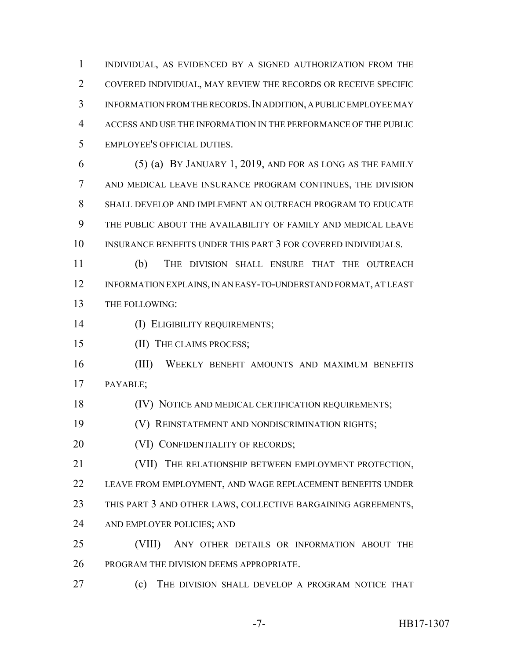INDIVIDUAL, AS EVIDENCED BY A SIGNED AUTHORIZATION FROM THE COVERED INDIVIDUAL, MAY REVIEW THE RECORDS OR RECEIVE SPECIFIC INFORMATION FROM THE RECORDS.IN ADDITION, A PUBLIC EMPLOYEE MAY ACCESS AND USE THE INFORMATION IN THE PERFORMANCE OF THE PUBLIC EMPLOYEE'S OFFICIAL DUTIES.

 (5) (a) BY JANUARY 1, 2019, AND FOR AS LONG AS THE FAMILY AND MEDICAL LEAVE INSURANCE PROGRAM CONTINUES, THE DIVISION SHALL DEVELOP AND IMPLEMENT AN OUTREACH PROGRAM TO EDUCATE THE PUBLIC ABOUT THE AVAILABILITY OF FAMILY AND MEDICAL LEAVE INSURANCE BENEFITS UNDER THIS PART 3 FOR COVERED INDIVIDUALS.

 (b) THE DIVISION SHALL ENSURE THAT THE OUTREACH INFORMATION EXPLAINS, IN AN EASY-TO-UNDERSTAND FORMAT, AT LEAST THE FOLLOWING:

**(I) ELIGIBILITY REQUIREMENTS;** 

(II) THE CLAIMS PROCESS;

 (III) WEEKLY BENEFIT AMOUNTS AND MAXIMUM BENEFITS PAYABLE;

(IV) NOTICE AND MEDICAL CERTIFICATION REQUIREMENTS;

(V) REINSTATEMENT AND NONDISCRIMINATION RIGHTS;

**(VI) CONFIDENTIALITY OF RECORDS;** 

 (VII) THE RELATIONSHIP BETWEEN EMPLOYMENT PROTECTION, LEAVE FROM EMPLOYMENT, AND WAGE REPLACEMENT BENEFITS UNDER THIS PART 3 AND OTHER LAWS, COLLECTIVE BARGAINING AGREEMENTS, AND EMPLOYER POLICIES; AND

 (VIII) ANY OTHER DETAILS OR INFORMATION ABOUT THE PROGRAM THE DIVISION DEEMS APPROPRIATE.

(c) THE DIVISION SHALL DEVELOP A PROGRAM NOTICE THAT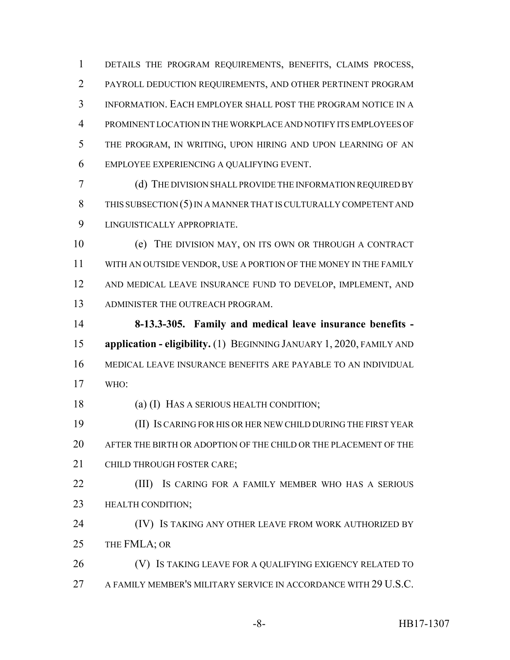DETAILS THE PROGRAM REQUIREMENTS, BENEFITS, CLAIMS PROCESS, PAYROLL DEDUCTION REQUIREMENTS, AND OTHER PERTINENT PROGRAM INFORMATION. EACH EMPLOYER SHALL POST THE PROGRAM NOTICE IN A PROMINENT LOCATION IN THE WORKPLACE AND NOTIFY ITS EMPLOYEES OF THE PROGRAM, IN WRITING, UPON HIRING AND UPON LEARNING OF AN EMPLOYEE EXPERIENCING A QUALIFYING EVENT.

 (d) THE DIVISION SHALL PROVIDE THE INFORMATION REQUIRED BY 8 THIS SUBSECTION (5) IN A MANNER THAT IS CULTURALLY COMPETENT AND LINGUISTICALLY APPROPRIATE.

 (e) THE DIVISION MAY, ON ITS OWN OR THROUGH A CONTRACT WITH AN OUTSIDE VENDOR, USE A PORTION OF THE MONEY IN THE FAMILY AND MEDICAL LEAVE INSURANCE FUND TO DEVELOP, IMPLEMENT, AND ADMINISTER THE OUTREACH PROGRAM.

 **8-13.3-305. Family and medical leave insurance benefits - application - eligibility.** (1) BEGINNING JANUARY 1, 2020, FAMILY AND MEDICAL LEAVE INSURANCE BENEFITS ARE PAYABLE TO AN INDIVIDUAL WHO:

(a) (I) HAS A SERIOUS HEALTH CONDITION;

 (II) IS CARING FOR HIS OR HER NEW CHILD DURING THE FIRST YEAR AFTER THE BIRTH OR ADOPTION OF THE CHILD OR THE PLACEMENT OF THE 21 CHILD THROUGH FOSTER CARE:

**(III)** Is CARING FOR A FAMILY MEMBER WHO HAS A SERIOUS HEALTH CONDITION;

**(IV) IS TAKING ANY OTHER LEAVE FROM WORK AUTHORIZED BY** THE FMLA; OR

26 (V) IS TAKING LEAVE FOR A QUALIFYING EXIGENCY RELATED TO A FAMILY MEMBER'S MILITARY SERVICE IN ACCORDANCE WITH 29 U.S.C.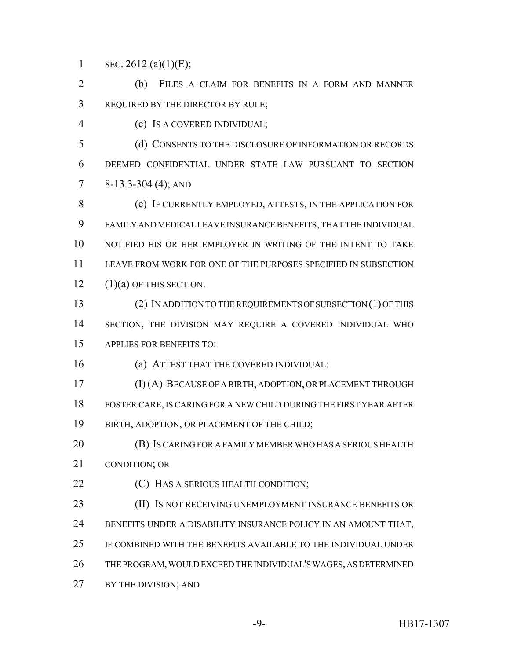1 SEC. (a)(1)(E);

 (b) FILES A CLAIM FOR BENEFITS IN A FORM AND MANNER REQUIRED BY THE DIRECTOR BY RULE;

(c) IS A COVERED INDIVIDUAL;

 (d) CONSENTS TO THE DISCLOSURE OF INFORMATION OR RECORDS DEEMED CONFIDENTIAL UNDER STATE LAW PURSUANT TO SECTION 7 8-13.3-304 (4); AND

 (e) IF CURRENTLY EMPLOYED, ATTESTS, IN THE APPLICATION FOR FAMILY AND MEDICAL LEAVE INSURANCE BENEFITS, THAT THE INDIVIDUAL NOTIFIED HIS OR HER EMPLOYER IN WRITING OF THE INTENT TO TAKE LEAVE FROM WORK FOR ONE OF THE PURPOSES SPECIFIED IN SUBSECTION  $12 \qquad (1)(a)$  OF THIS SECTION.

 (2) IN ADDITION TO THE REQUIREMENTS OF SUBSECTION (1) OF THIS 14 SECTION, THE DIVISION MAY REQUIRE A COVERED INDIVIDUAL WHO APPLIES FOR BENEFITS TO:

(a) ATTEST THAT THE COVERED INDIVIDUAL:

 (I) (A) BECAUSE OF A BIRTH, ADOPTION, OR PLACEMENT THROUGH FOSTER CARE, IS CARING FOR A NEW CHILD DURING THE FIRST YEAR AFTER BIRTH, ADOPTION, OR PLACEMENT OF THE CHILD;

 (B) IS CARING FOR A FAMILY MEMBER WHO HAS A SERIOUS HEALTH CONDITION; OR

**(C)** HAS A SERIOUS HEALTH CONDITION;

**(II) IS NOT RECEIVING UNEMPLOYMENT INSURANCE BENEFITS OR**  BENEFITS UNDER A DISABILITY INSURANCE POLICY IN AN AMOUNT THAT, IF COMBINED WITH THE BENEFITS AVAILABLE TO THE INDIVIDUAL UNDER THE PROGRAM, WOULD EXCEED THE INDIVIDUAL'S WAGES, AS DETERMINED 27 BY THE DIVISION; AND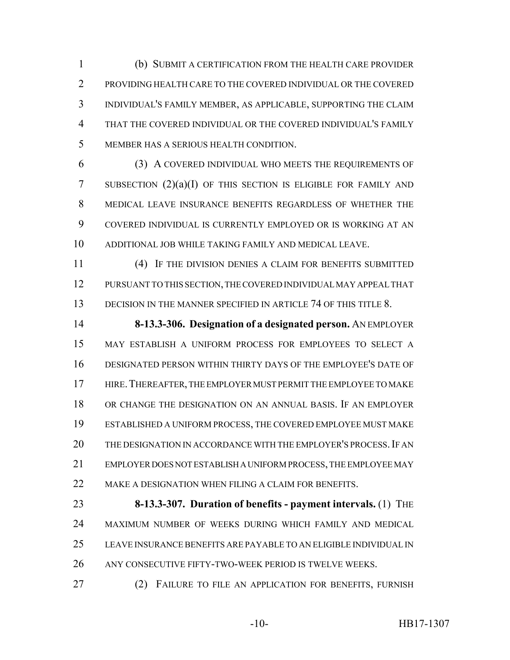(b) SUBMIT A CERTIFICATION FROM THE HEALTH CARE PROVIDER PROVIDING HEALTH CARE TO THE COVERED INDIVIDUAL OR THE COVERED INDIVIDUAL'S FAMILY MEMBER, AS APPLICABLE, SUPPORTING THE CLAIM THAT THE COVERED INDIVIDUAL OR THE COVERED INDIVIDUAL'S FAMILY MEMBER HAS A SERIOUS HEALTH CONDITION.

 (3) A COVERED INDIVIDUAL WHO MEETS THE REQUIREMENTS OF 7 SUBSECTION  $(2)(a)(I)$  OF THIS SECTION IS ELIGIBLE FOR FAMILY AND MEDICAL LEAVE INSURANCE BENEFITS REGARDLESS OF WHETHER THE COVERED INDIVIDUAL IS CURRENTLY EMPLOYED OR IS WORKING AT AN ADDITIONAL JOB WHILE TAKING FAMILY AND MEDICAL LEAVE.

 (4) IF THE DIVISION DENIES A CLAIM FOR BENEFITS SUBMITTED PURSUANT TO THIS SECTION, THE COVERED INDIVIDUAL MAY APPEAL THAT 13 DECISION IN THE MANNER SPECIFIED IN ARTICLE 74 OF THIS TITLE 8.

 **8-13.3-306. Designation of a designated person.** AN EMPLOYER MAY ESTABLISH A UNIFORM PROCESS FOR EMPLOYEES TO SELECT A DESIGNATED PERSON WITHIN THIRTY DAYS OF THE EMPLOYEE'S DATE OF HIRE.THEREAFTER, THE EMPLOYER MUST PERMIT THE EMPLOYEE TO MAKE OR CHANGE THE DESIGNATION ON AN ANNUAL BASIS. IF AN EMPLOYER ESTABLISHED A UNIFORM PROCESS, THE COVERED EMPLOYEE MUST MAKE 20 THE DESIGNATION IN ACCORDANCE WITH THE EMPLOYER'S PROCESS. IF AN EMPLOYER DOES NOT ESTABLISH A UNIFORM PROCESS, THE EMPLOYEE MAY 22 MAKE A DESIGNATION WHEN FILING A CLAIM FOR BENEFITS.

 **8-13.3-307. Duration of benefits - payment intervals.** (1) THE MAXIMUM NUMBER OF WEEKS DURING WHICH FAMILY AND MEDICAL LEAVE INSURANCE BENEFITS ARE PAYABLE TO AN ELIGIBLE INDIVIDUAL IN ANY CONSECUTIVE FIFTY-TWO-WEEK PERIOD IS TWELVE WEEKS.

(2) FAILURE TO FILE AN APPLICATION FOR BENEFITS, FURNISH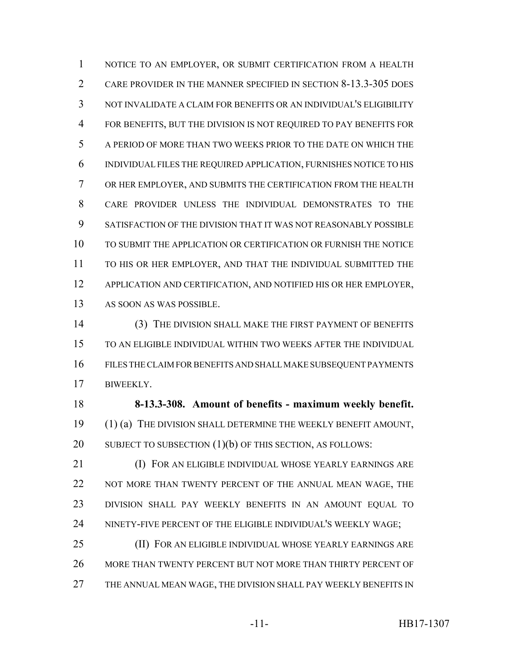NOTICE TO AN EMPLOYER, OR SUBMIT CERTIFICATION FROM A HEALTH CARE PROVIDER IN THE MANNER SPECIFIED IN SECTION 8-13.3-305 DOES NOT INVALIDATE A CLAIM FOR BENEFITS OR AN INDIVIDUAL'S ELIGIBILITY FOR BENEFITS, BUT THE DIVISION IS NOT REQUIRED TO PAY BENEFITS FOR A PERIOD OF MORE THAN TWO WEEKS PRIOR TO THE DATE ON WHICH THE INDIVIDUAL FILES THE REQUIRED APPLICATION, FURNISHES NOTICE TO HIS OR HER EMPLOYER, AND SUBMITS THE CERTIFICATION FROM THE HEALTH CARE PROVIDER UNLESS THE INDIVIDUAL DEMONSTRATES TO THE SATISFACTION OF THE DIVISION THAT IT WAS NOT REASONABLY POSSIBLE TO SUBMIT THE APPLICATION OR CERTIFICATION OR FURNISH THE NOTICE TO HIS OR HER EMPLOYER, AND THAT THE INDIVIDUAL SUBMITTED THE APPLICATION AND CERTIFICATION, AND NOTIFIED HIS OR HER EMPLOYER, AS SOON AS WAS POSSIBLE.

 (3) THE DIVISION SHALL MAKE THE FIRST PAYMENT OF BENEFITS TO AN ELIGIBLE INDIVIDUAL WITHIN TWO WEEKS AFTER THE INDIVIDUAL FILES THE CLAIM FOR BENEFITS AND SHALL MAKE SUBSEQUENT PAYMENTS BIWEEKLY.

 **8-13.3-308. Amount of benefits - maximum weekly benefit.** (1) (a) THE DIVISION SHALL DETERMINE THE WEEKLY BENEFIT AMOUNT, 20 SUBJECT TO SUBSECTION (1)(b) OF THIS SECTION, AS FOLLOWS:

 (I) FOR AN ELIGIBLE INDIVIDUAL WHOSE YEARLY EARNINGS ARE 22 NOT MORE THAN TWENTY PERCENT OF THE ANNUAL MEAN WAGE, THE DIVISION SHALL PAY WEEKLY BENEFITS IN AN AMOUNT EQUAL TO NINETY-FIVE PERCENT OF THE ELIGIBLE INDIVIDUAL'S WEEKLY WAGE;

 (II) FOR AN ELIGIBLE INDIVIDUAL WHOSE YEARLY EARNINGS ARE MORE THAN TWENTY PERCENT BUT NOT MORE THAN THIRTY PERCENT OF THE ANNUAL MEAN WAGE, THE DIVISION SHALL PAY WEEKLY BENEFITS IN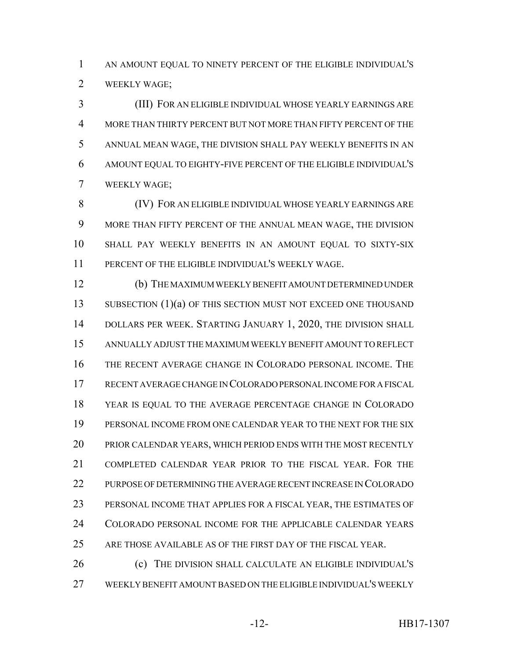AN AMOUNT EQUAL TO NINETY PERCENT OF THE ELIGIBLE INDIVIDUAL'S WEEKLY WAGE;

 (III) FOR AN ELIGIBLE INDIVIDUAL WHOSE YEARLY EARNINGS ARE MORE THAN THIRTY PERCENT BUT NOT MORE THAN FIFTY PERCENT OF THE ANNUAL MEAN WAGE, THE DIVISION SHALL PAY WEEKLY BENEFITS IN AN AMOUNT EQUAL TO EIGHTY-FIVE PERCENT OF THE ELIGIBLE INDIVIDUAL'S WEEKLY WAGE;

 (IV) FOR AN ELIGIBLE INDIVIDUAL WHOSE YEARLY EARNINGS ARE MORE THAN FIFTY PERCENT OF THE ANNUAL MEAN WAGE, THE DIVISION SHALL PAY WEEKLY BENEFITS IN AN AMOUNT EQUAL TO SIXTY-SIX PERCENT OF THE ELIGIBLE INDIVIDUAL'S WEEKLY WAGE.

 (b) THE MAXIMUM WEEKLY BENEFIT AMOUNT DETERMINED UNDER 13 SUBSECTION (1)(a) OF THIS SECTION MUST NOT EXCEED ONE THOUSAND 14 DOLLARS PER WEEK. STARTING JANUARY 1, 2020, THE DIVISION SHALL ANNUALLY ADJUST THE MAXIMUM WEEKLY BENEFIT AMOUNT TO REFLECT THE RECENT AVERAGE CHANGE IN COLORADO PERSONAL INCOME. THE RECENT AVERAGE CHANGE IN COLORADO PERSONAL INCOME FOR A FISCAL YEAR IS EQUAL TO THE AVERAGE PERCENTAGE CHANGE IN COLORADO PERSONAL INCOME FROM ONE CALENDAR YEAR TO THE NEXT FOR THE SIX PRIOR CALENDAR YEARS, WHICH PERIOD ENDS WITH THE MOST RECENTLY COMPLETED CALENDAR YEAR PRIOR TO THE FISCAL YEAR. FOR THE PURPOSE OF DETERMINING THE AVERAGE RECENT INCREASE IN COLORADO PERSONAL INCOME THAT APPLIES FOR A FISCAL YEAR, THE ESTIMATES OF COLORADO PERSONAL INCOME FOR THE APPLICABLE CALENDAR YEARS ARE THOSE AVAILABLE AS OF THE FIRST DAY OF THE FISCAL YEAR.

 (c) THE DIVISION SHALL CALCULATE AN ELIGIBLE INDIVIDUAL'S WEEKLY BENEFIT AMOUNT BASED ON THE ELIGIBLE INDIVIDUAL'S WEEKLY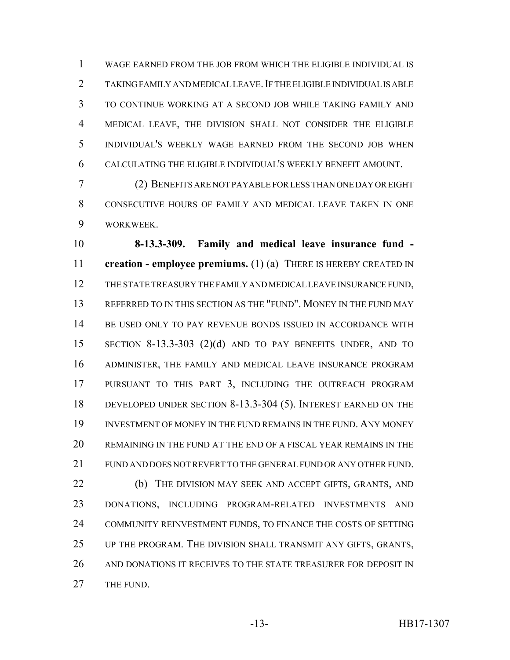WAGE EARNED FROM THE JOB FROM WHICH THE ELIGIBLE INDIVIDUAL IS 2 TAKING FAMILY AND MEDICAL LEAVE. IF THE ELIGIBLE INDIVIDUAL IS ABLE TO CONTINUE WORKING AT A SECOND JOB WHILE TAKING FAMILY AND MEDICAL LEAVE, THE DIVISION SHALL NOT CONSIDER THE ELIGIBLE INDIVIDUAL'S WEEKLY WAGE EARNED FROM THE SECOND JOB WHEN CALCULATING THE ELIGIBLE INDIVIDUAL'S WEEKLY BENEFIT AMOUNT.

 (2) BENEFITS ARE NOT PAYABLE FOR LESS THAN ONE DAY OR EIGHT CONSECUTIVE HOURS OF FAMILY AND MEDICAL LEAVE TAKEN IN ONE WORKWEEK.

 **8-13.3-309. Family and medical leave insurance fund - creation - employee premiums.** (1) (a) THERE IS HEREBY CREATED IN THE STATE TREASURY THE FAMILY AND MEDICAL LEAVE INSURANCE FUND, REFERRED TO IN THIS SECTION AS THE "FUND". MONEY IN THE FUND MAY BE USED ONLY TO PAY REVENUE BONDS ISSUED IN ACCORDANCE WITH SECTION 8-13.3-303 (2)(d) AND TO PAY BENEFITS UNDER, AND TO ADMINISTER, THE FAMILY AND MEDICAL LEAVE INSURANCE PROGRAM PURSUANT TO THIS PART 3, INCLUDING THE OUTREACH PROGRAM DEVELOPED UNDER SECTION 8-13.3-304 (5). INTEREST EARNED ON THE INVESTMENT OF MONEY IN THE FUND REMAINS IN THE FUND. ANY MONEY REMAINING IN THE FUND AT THE END OF A FISCAL YEAR REMAINS IN THE FUND AND DOES NOT REVERT TO THE GENERAL FUND OR ANY OTHER FUND. (b) THE DIVISION MAY SEEK AND ACCEPT GIFTS, GRANTS, AND DONATIONS, INCLUDING PROGRAM-RELATED INVESTMENTS AND COMMUNITY REINVESTMENT FUNDS, TO FINANCE THE COSTS OF SETTING UP THE PROGRAM. THE DIVISION SHALL TRANSMIT ANY GIFTS, GRANTS, 26 AND DONATIONS IT RECEIVES TO THE STATE TREASURER FOR DEPOSIT IN 27 THE FUND.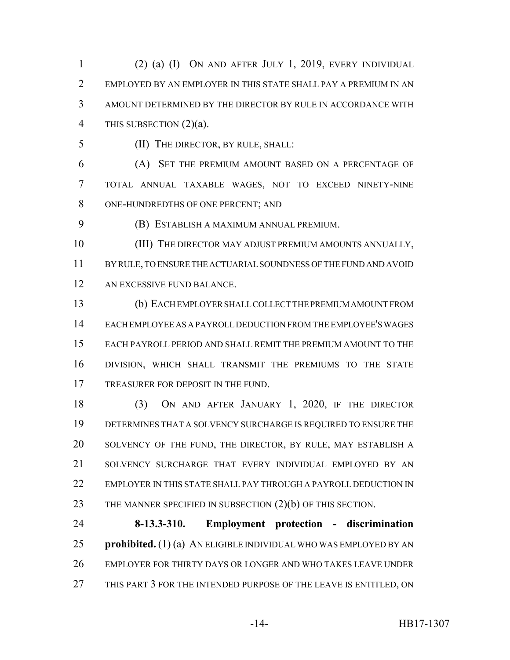(2) (a) (I) ON AND AFTER JULY 1, 2019, EVERY INDIVIDUAL EMPLOYED BY AN EMPLOYER IN THIS STATE SHALL PAY A PREMIUM IN AN AMOUNT DETERMINED BY THE DIRECTOR BY RULE IN ACCORDANCE WITH THIS SUBSECTION (2)(a).

(II) THE DIRECTOR, BY RULE, SHALL:

 (A) SET THE PREMIUM AMOUNT BASED ON A PERCENTAGE OF TOTAL ANNUAL TAXABLE WAGES, NOT TO EXCEED NINETY-NINE ONE-HUNDREDTHS OF ONE PERCENT; AND

(B) ESTABLISH A MAXIMUM ANNUAL PREMIUM.

10 (III) THE DIRECTOR MAY ADJUST PREMIUM AMOUNTS ANNUALLY, BY RULE, TO ENSURE THE ACTUARIAL SOUNDNESS OF THE FUND AND AVOID AN EXCESSIVE FUND BALANCE.

 (b) EACH EMPLOYER SHALL COLLECT THE PREMIUM AMOUNT FROM EACH EMPLOYEE AS A PAYROLL DEDUCTION FROM THE EMPLOYEE'S WAGES EACH PAYROLL PERIOD AND SHALL REMIT THE PREMIUM AMOUNT TO THE DIVISION, WHICH SHALL TRANSMIT THE PREMIUMS TO THE STATE 17 TREASURER FOR DEPOSIT IN THE FUND.

 (3) ON AND AFTER JANUARY 1, 2020, IF THE DIRECTOR DETERMINES THAT A SOLVENCY SURCHARGE IS REQUIRED TO ENSURE THE SOLVENCY OF THE FUND, THE DIRECTOR, BY RULE, MAY ESTABLISH A SOLVENCY SURCHARGE THAT EVERY INDIVIDUAL EMPLOYED BY AN EMPLOYER IN THIS STATE SHALL PAY THROUGH A PAYROLL DEDUCTION IN 23 THE MANNER SPECIFIED IN SUBSECTION (2)(b) OF THIS SECTION.

 **8-13.3-310. Employment protection - discrimination prohibited.** (1) (a) AN ELIGIBLE INDIVIDUAL WHO WAS EMPLOYED BY AN EMPLOYER FOR THIRTY DAYS OR LONGER AND WHO TAKES LEAVE UNDER 27 THIS PART 3 FOR THE INTENDED PURPOSE OF THE LEAVE IS ENTITLED, ON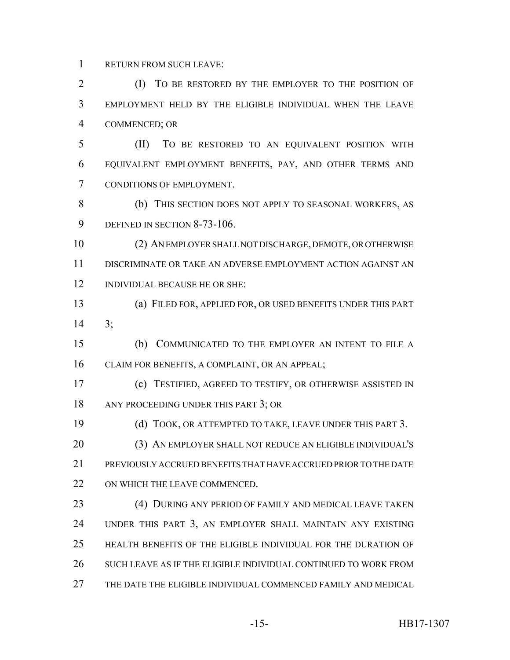RETURN FROM SUCH LEAVE:

 (I) TO BE RESTORED BY THE EMPLOYER TO THE POSITION OF EMPLOYMENT HELD BY THE ELIGIBLE INDIVIDUAL WHEN THE LEAVE COMMENCED; OR

 (II) TO BE RESTORED TO AN EQUIVALENT POSITION WITH EQUIVALENT EMPLOYMENT BENEFITS, PAY, AND OTHER TERMS AND CONDITIONS OF EMPLOYMENT.

 (b) THIS SECTION DOES NOT APPLY TO SEASONAL WORKERS, AS 9 DEFINED IN SECTION 8-73-106.

 (2) AN EMPLOYER SHALL NOT DISCHARGE, DEMOTE, OR OTHERWISE DISCRIMINATE OR TAKE AN ADVERSE EMPLOYMENT ACTION AGAINST AN INDIVIDUAL BECAUSE HE OR SHE:

 (a) FILED FOR, APPLIED FOR, OR USED BENEFITS UNDER THIS PART 3;

 (b) COMMUNICATED TO THE EMPLOYER AN INTENT TO FILE A CLAIM FOR BENEFITS, A COMPLAINT, OR AN APPEAL;

 (c) TESTIFIED, AGREED TO TESTIFY, OR OTHERWISE ASSISTED IN 18 ANY PROCEEDING UNDER THIS PART 3; OR

(d) TOOK, OR ATTEMPTED TO TAKE, LEAVE UNDER THIS PART 3.

 (3) AN EMPLOYER SHALL NOT REDUCE AN ELIGIBLE INDIVIDUAL'S PREVIOUSLY ACCRUED BENEFITS THAT HAVE ACCRUED PRIOR TO THE DATE 22 ON WHICH THE LEAVE COMMENCED.

 (4) DURING ANY PERIOD OF FAMILY AND MEDICAL LEAVE TAKEN UNDER THIS PART 3, AN EMPLOYER SHALL MAINTAIN ANY EXISTING HEALTH BENEFITS OF THE ELIGIBLE INDIVIDUAL FOR THE DURATION OF SUCH LEAVE AS IF THE ELIGIBLE INDIVIDUAL CONTINUED TO WORK FROM THE DATE THE ELIGIBLE INDIVIDUAL COMMENCED FAMILY AND MEDICAL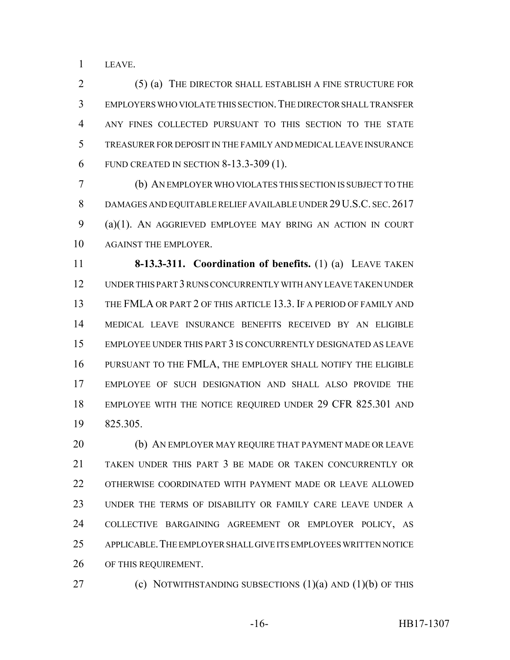LEAVE.

 (5) (a) THE DIRECTOR SHALL ESTABLISH A FINE STRUCTURE FOR EMPLOYERS WHO VIOLATE THIS SECTION.THE DIRECTOR SHALL TRANSFER ANY FINES COLLECTED PURSUANT TO THIS SECTION TO THE STATE TREASURER FOR DEPOSIT IN THE FAMILY AND MEDICAL LEAVE INSURANCE FUND CREATED IN SECTION 8-13.3-309 (1).

 (b) AN EMPLOYER WHO VIOLATES THIS SECTION IS SUBJECT TO THE 8 DAMAGES AND EQUITABLE RELIEF AVAILABLE UNDER 29 U.S.C. SEC. 2617 (a)(1). AN AGGRIEVED EMPLOYEE MAY BRING AN ACTION IN COURT AGAINST THE EMPLOYER.

 **8-13.3-311. Coordination of benefits.** (1) (a) LEAVE TAKEN UNDER THIS PART 3 RUNS CONCURRENTLY WITH ANY LEAVE TAKEN UNDER THE FMLA OR PART 2 OF THIS ARTICLE 13.3. IF A PERIOD OF FAMILY AND MEDICAL LEAVE INSURANCE BENEFITS RECEIVED BY AN ELIGIBLE EMPLOYEE UNDER THIS PART 3 IS CONCURRENTLY DESIGNATED AS LEAVE PURSUANT TO THE FMLA, THE EMPLOYER SHALL NOTIFY THE ELIGIBLE EMPLOYEE OF SUCH DESIGNATION AND SHALL ALSO PROVIDE THE 18 EMPLOYEE WITH THE NOTICE REQUIRED UNDER 29 CFR 825.301 AND 825.305.

20 (b) AN EMPLOYER MAY REQUIRE THAT PAYMENT MADE OR LEAVE TAKEN UNDER THIS PART 3 BE MADE OR TAKEN CONCURRENTLY OR OTHERWISE COORDINATED WITH PAYMENT MADE OR LEAVE ALLOWED UNDER THE TERMS OF DISABILITY OR FAMILY CARE LEAVE UNDER A COLLECTIVE BARGAINING AGREEMENT OR EMPLOYER POLICY, AS APPLICABLE.THE EMPLOYER SHALL GIVE ITS EMPLOYEES WRITTEN NOTICE OF THIS REQUIREMENT.

(c) NOTWITHSTANDING SUBSECTIONS (1)(a) AND (1)(b) OF THIS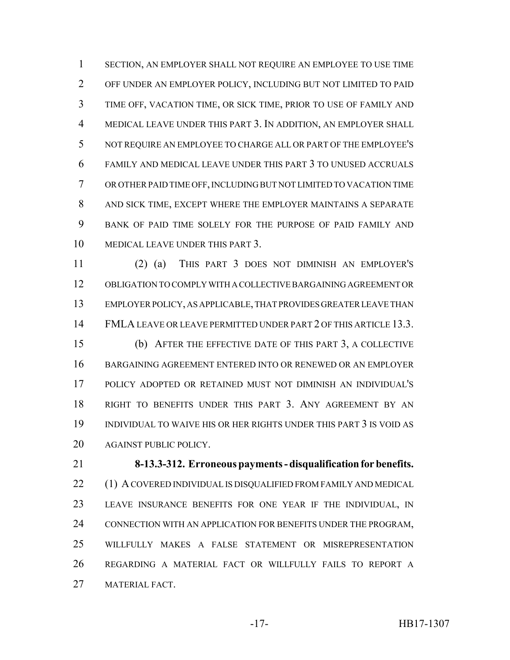SECTION, AN EMPLOYER SHALL NOT REQUIRE AN EMPLOYEE TO USE TIME OFF UNDER AN EMPLOYER POLICY, INCLUDING BUT NOT LIMITED TO PAID TIME OFF, VACATION TIME, OR SICK TIME, PRIOR TO USE OF FAMILY AND MEDICAL LEAVE UNDER THIS PART 3. IN ADDITION, AN EMPLOYER SHALL NOT REQUIRE AN EMPLOYEE TO CHARGE ALL OR PART OF THE EMPLOYEE'S FAMILY AND MEDICAL LEAVE UNDER THIS PART 3 TO UNUSED ACCRUALS OR OTHER PAID TIME OFF, INCLUDING BUT NOT LIMITED TO VACATION TIME AND SICK TIME, EXCEPT WHERE THE EMPLOYER MAINTAINS A SEPARATE BANK OF PAID TIME SOLELY FOR THE PURPOSE OF PAID FAMILY AND MEDICAL LEAVE UNDER THIS PART 3.

 (2) (a) THIS PART 3 DOES NOT DIMINISH AN EMPLOYER'S OBLIGATION TO COMPLY WITH A COLLECTIVE BARGAINING AGREEMENT OR EMPLOYER POLICY, AS APPLICABLE, THAT PROVIDES GREATER LEAVE THAN FMLA LEAVE OR LEAVE PERMITTED UNDER PART 2 OF THIS ARTICLE 13.3. (b) AFTER THE EFFECTIVE DATE OF THIS PART 3, A COLLECTIVE BARGAINING AGREEMENT ENTERED INTO OR RENEWED OR AN EMPLOYER POLICY ADOPTED OR RETAINED MUST NOT DIMINISH AN INDIVIDUAL'S RIGHT TO BENEFITS UNDER THIS PART 3. ANY AGREEMENT BY AN INDIVIDUAL TO WAIVE HIS OR HER RIGHTS UNDER THIS PART 3 IS VOID AS AGAINST PUBLIC POLICY.

 **8-13.3-312. Erroneous payments - disqualification for benefits.** 22 (1) A COVERED INDIVIDUAL IS DISQUALIFIED FROM FAMILY AND MEDICAL LEAVE INSURANCE BENEFITS FOR ONE YEAR IF THE INDIVIDUAL, IN CONNECTION WITH AN APPLICATION FOR BENEFITS UNDER THE PROGRAM, WILLFULLY MAKES A FALSE STATEMENT OR MISREPRESENTATION REGARDING A MATERIAL FACT OR WILLFULLY FAILS TO REPORT A MATERIAL FACT.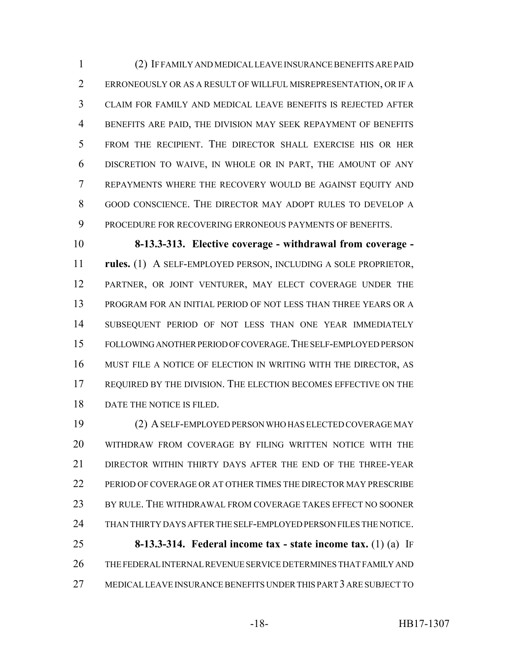(2) IF FAMILY AND MEDICAL LEAVE INSURANCE BENEFITS ARE PAID ERRONEOUSLY OR AS A RESULT OF WILLFUL MISREPRESENTATION, OR IF A CLAIM FOR FAMILY AND MEDICAL LEAVE BENEFITS IS REJECTED AFTER BENEFITS ARE PAID, THE DIVISION MAY SEEK REPAYMENT OF BENEFITS FROM THE RECIPIENT. THE DIRECTOR SHALL EXERCISE HIS OR HER DISCRETION TO WAIVE, IN WHOLE OR IN PART, THE AMOUNT OF ANY REPAYMENTS WHERE THE RECOVERY WOULD BE AGAINST EQUITY AND GOOD CONSCIENCE. THE DIRECTOR MAY ADOPT RULES TO DEVELOP A PROCEDURE FOR RECOVERING ERRONEOUS PAYMENTS OF BENEFITS.

 **8-13.3-313. Elective coverage - withdrawal from coverage - rules.** (1) A SELF-EMPLOYED PERSON, INCLUDING A SOLE PROPRIETOR, PARTNER, OR JOINT VENTURER, MAY ELECT COVERAGE UNDER THE PROGRAM FOR AN INITIAL PERIOD OF NOT LESS THAN THREE YEARS OR A SUBSEQUENT PERIOD OF NOT LESS THAN ONE YEAR IMMEDIATELY FOLLOWING ANOTHER PERIOD OF COVERAGE.THE SELF-EMPLOYED PERSON MUST FILE A NOTICE OF ELECTION IN WRITING WITH THE DIRECTOR, AS REQUIRED BY THE DIVISION. THE ELECTION BECOMES EFFECTIVE ON THE DATE THE NOTICE IS FILED.

 (2) A SELF-EMPLOYED PERSON WHO HAS ELECTED COVERAGE MAY WITHDRAW FROM COVERAGE BY FILING WRITTEN NOTICE WITH THE 21 DIRECTOR WITHIN THIRTY DAYS AFTER THE END OF THE THREE-YEAR PERIOD OF COVERAGE OR AT OTHER TIMES THE DIRECTOR MAY PRESCRIBE BY RULE. THE WITHDRAWAL FROM COVERAGE TAKES EFFECT NO SOONER THAN THIRTY DAYS AFTER THE SELF-EMPLOYED PERSON FILES THE NOTICE. **8-13.3-314. Federal income tax - state income tax.** (1) (a) IF THE FEDERAL INTERNAL REVENUE SERVICE DETERMINES THAT FAMILY AND MEDICAL LEAVE INSURANCE BENEFITS UNDER THIS PART 3 ARE SUBJECT TO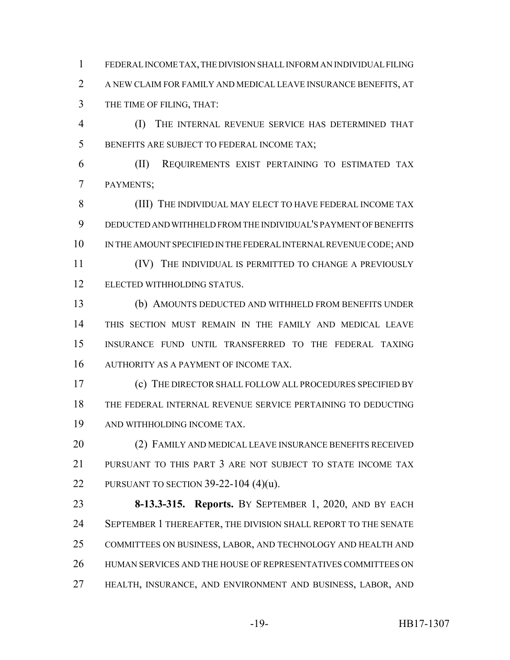FEDERAL INCOME TAX, THE DIVISION SHALL INFORM AN INDIVIDUAL FILING A NEW CLAIM FOR FAMILY AND MEDICAL LEAVE INSURANCE BENEFITS, AT THE TIME OF FILING, THAT:

 (I) THE INTERNAL REVENUE SERVICE HAS DETERMINED THAT BENEFITS ARE SUBJECT TO FEDERAL INCOME TAX;

 (II) REQUIREMENTS EXIST PERTAINING TO ESTIMATED TAX PAYMENTS;

 (III) THE INDIVIDUAL MAY ELECT TO HAVE FEDERAL INCOME TAX DEDUCTED AND WITHHELD FROM THE INDIVIDUAL'S PAYMENT OF BENEFITS IN THE AMOUNT SPECIFIED IN THE FEDERAL INTERNAL REVENUE CODE; AND

**IV)** THE INDIVIDUAL IS PERMITTED TO CHANGE A PREVIOUSLY ELECTED WITHHOLDING STATUS.

 (b) AMOUNTS DEDUCTED AND WITHHELD FROM BENEFITS UNDER THIS SECTION MUST REMAIN IN THE FAMILY AND MEDICAL LEAVE INSURANCE FUND UNTIL TRANSFERRED TO THE FEDERAL TAXING 16 AUTHORITY AS A PAYMENT OF INCOME TAX.

 (c) THE DIRECTOR SHALL FOLLOW ALL PROCEDURES SPECIFIED BY THE FEDERAL INTERNAL REVENUE SERVICE PERTAINING TO DEDUCTING AND WITHHOLDING INCOME TAX.

 (2) FAMILY AND MEDICAL LEAVE INSURANCE BENEFITS RECEIVED PURSUANT TO THIS PART 3 ARE NOT SUBJECT TO STATE INCOME TAX PURSUANT TO SECTION 39-22-104 (4)(u).

 **8-13.3-315. Reports.** BY SEPTEMBER 1, 2020, AND BY EACH SEPTEMBER 1 THEREAFTER, THE DIVISION SHALL REPORT TO THE SENATE COMMITTEES ON BUSINESS, LABOR, AND TECHNOLOGY AND HEALTH AND HUMAN SERVICES AND THE HOUSE OF REPRESENTATIVES COMMITTEES ON HEALTH, INSURANCE, AND ENVIRONMENT AND BUSINESS, LABOR, AND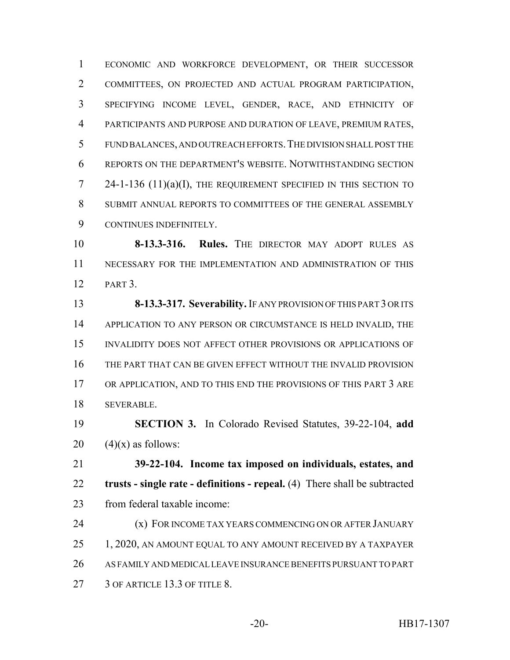ECONOMIC AND WORKFORCE DEVELOPMENT, OR THEIR SUCCESSOR COMMITTEES, ON PROJECTED AND ACTUAL PROGRAM PARTICIPATION, SPECIFYING INCOME LEVEL, GENDER, RACE, AND ETHNICITY OF PARTICIPANTS AND PURPOSE AND DURATION OF LEAVE, PREMIUM RATES, FUND BALANCES, AND OUTREACH EFFORTS.THE DIVISION SHALL POST THE REPORTS ON THE DEPARTMENT'S WEBSITE. NOTWITHSTANDING SECTION 24-1-136 (11)(a)(I), THE REQUIREMENT SPECIFIED IN THIS SECTION TO SUBMIT ANNUAL REPORTS TO COMMITTEES OF THE GENERAL ASSEMBLY CONTINUES INDEFINITELY.

 **8-13.3-316. Rules.** THE DIRECTOR MAY ADOPT RULES AS NECESSARY FOR THE IMPLEMENTATION AND ADMINISTRATION OF THIS PART 3.

 **8-13.3-317. Severability.** IF ANY PROVISION OF THIS PART 3 OR ITS APPLICATION TO ANY PERSON OR CIRCUMSTANCE IS HELD INVALID, THE INVALIDITY DOES NOT AFFECT OTHER PROVISIONS OR APPLICATIONS OF THE PART THAT CAN BE GIVEN EFFECT WITHOUT THE INVALID PROVISION OR APPLICATION, AND TO THIS END THE PROVISIONS OF THIS PART 3 ARE SEVERABLE.

 **SECTION 3.** In Colorado Revised Statutes, 39-22-104, **add** 20  $(4)(x)$  as follows:

 **39-22-104. Income tax imposed on individuals, estates, and trusts - single rate - definitions - repeal.** (4) There shall be subtracted from federal taxable income:

**(x) FOR INCOME TAX YEARS COMMENCING ON OR AFTER JANUARY** 25 1, 2020, AN AMOUNT EQUAL TO ANY AMOUNT RECEIVED BY A TAXPAYER AS FAMILY AND MEDICAL LEAVE INSURANCE BENEFITS PURSUANT TO PART 27 3 OF ARTICLE 13.3 OF TITLE 8.